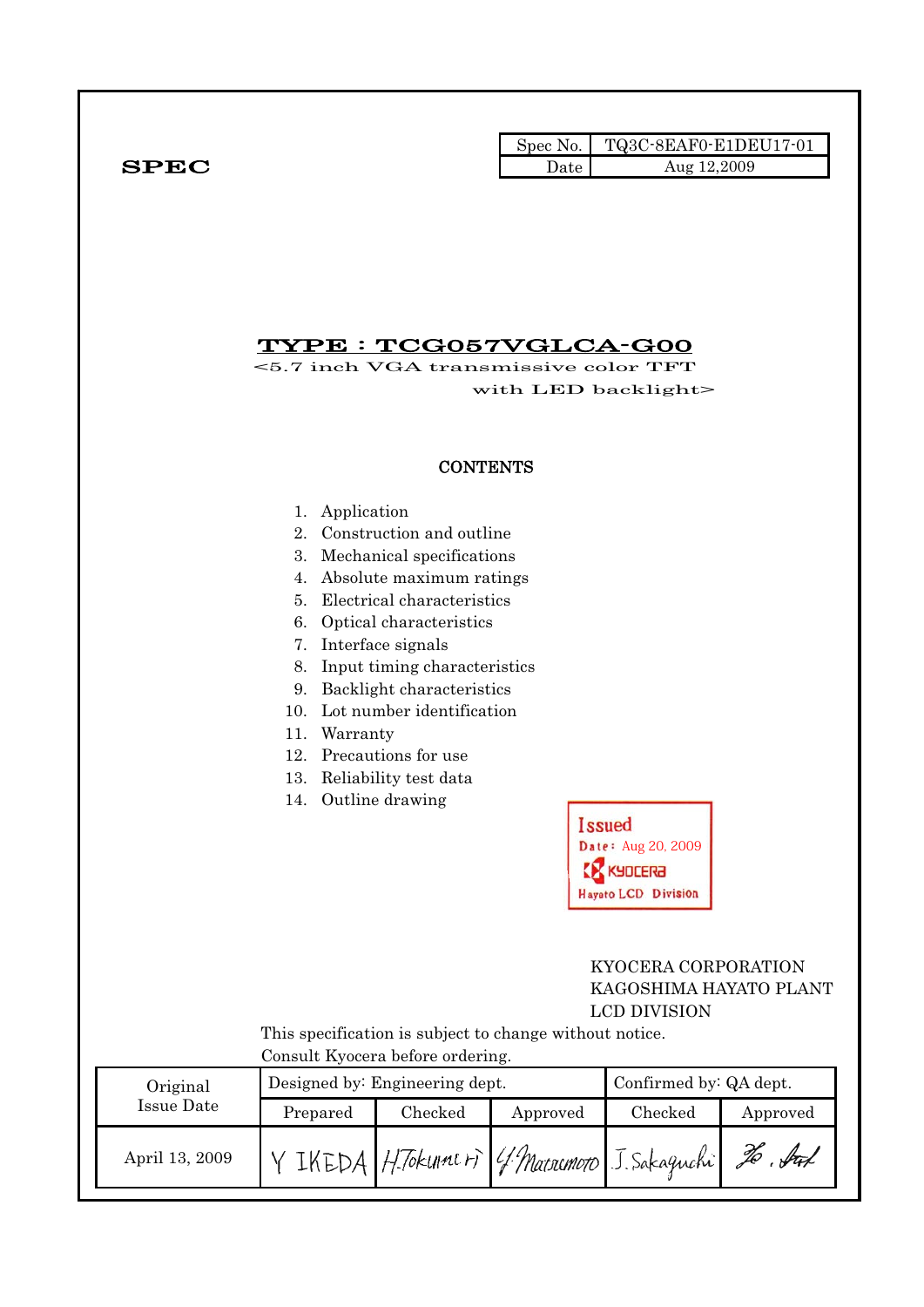|              |      | Spec No. TQ3C-8EAF0-E1DEU17-01 |
|--------------|------|--------------------------------|
| ${\bf SPEC}$ | Date | Aug 12,2009                    |

## TYPE : TCG057VGLCA-G00

<5.7 inch VGA transmissive color TFT with LED backlight>

#### **CONTENTS**

- 1. Application
- 2. Construction and outline
- 3. Mechanical specifications
- 4. Absolute maximum ratings
- 5. Electrical characteristics
- 6. Optical characteristics
- 7. Interface signals
- 8. Input timing characteristics
- 9. Backlight characteristics
- 10. Lot number identification
- 11. Warranty
- 12. Precautions for use
- 13. Reliability test data
- 14. Outline drawing

**Issued** Date: Aug 20, 2009 **K** KYDCERA **Hayato LCD Division** 

### KYOCERA CORPORATION KAGOSHIMA HAYATO PLANT LCD DIVISION

 This specification is subject to change without notice. Consult Kyocera before ordering.

| Original       | Designed by: Engineering dept. |         |          | Confirmed by: QA dept.                      |                              |  |
|----------------|--------------------------------|---------|----------|---------------------------------------------|------------------------------|--|
| Issue Date     | Prepared                       | Checked | Approved | Checked                                     | Approved                     |  |
| April 13, 2009 |                                |         |          | IKEDA H.Tokumeri (4 Marromoro J. Sakaguchi) | $\mathscr{I}\!\!\mathscr{O}$ |  |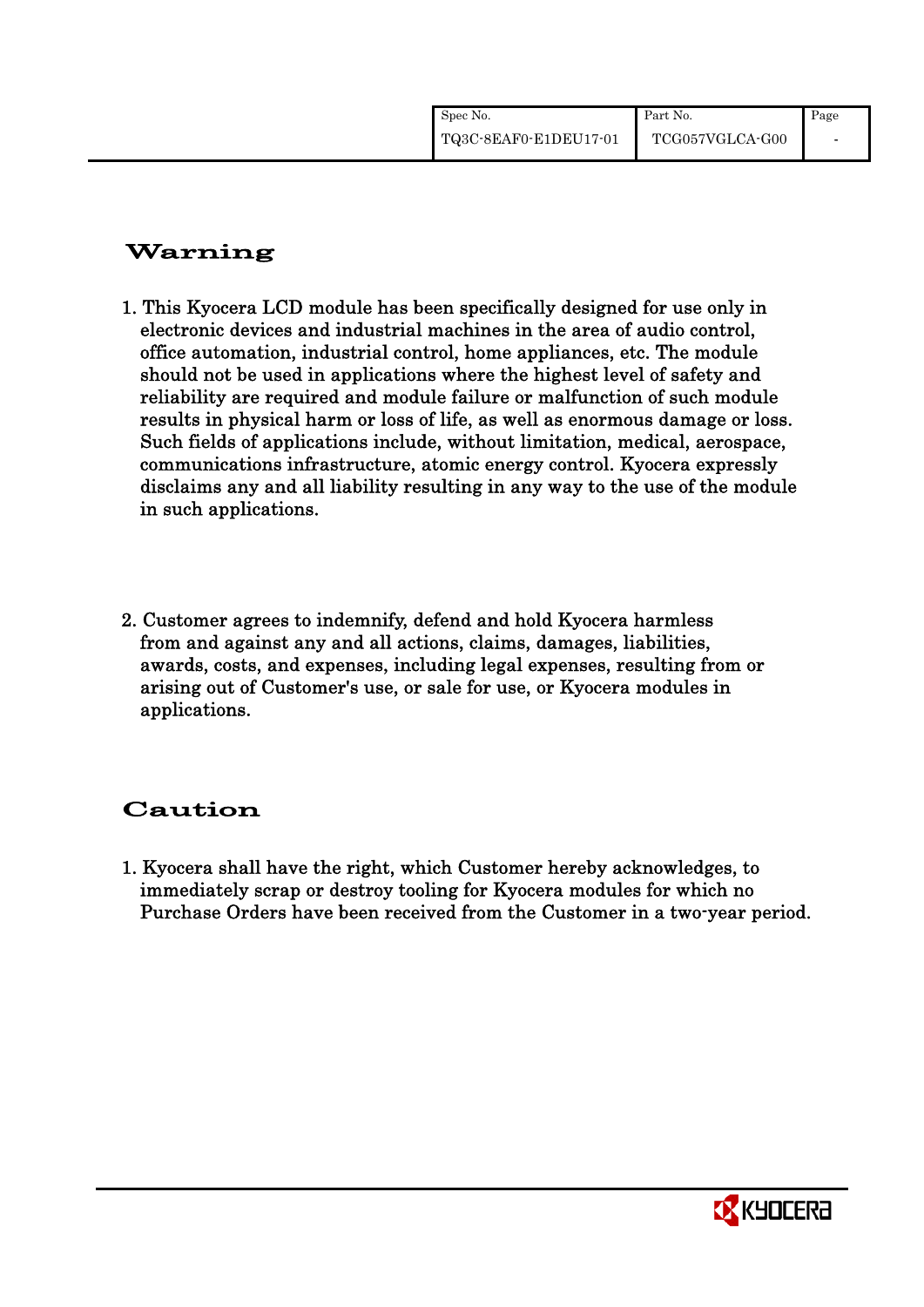| Spec No.              | Part No.        | Page |
|-----------------------|-----------------|------|
| TQ3C-8EAF0-E1DEU17-01 | TCG057VGLCA-G00 |      |

# Warning

- 1. This Kyocera LCD module has been specifically designed for use only in electronic devices and industrial machines in the area of audio control, office automation, industrial control, home appliances, etc. The module should not be used in applications where the highest level of safety and reliability are required and module failure or malfunction of such module results in physical harm or loss of life, as well as enormous damage or loss. Such fields of applications include, without limitation, medical, aerospace, communications infrastructure, atomic energy control. Kyocera expressly disclaims any and all liability resulting in any way to the use of the module in such applications.
- 2. Customer agrees to indemnify, defend and hold Kyocera harmless from and against any and all actions, claims, damages, liabilities, awards, costs, and expenses, including legal expenses, resulting from or arising out of Customer's use, or sale for use, or Kyocera modules in applications.

# Caution

1. Kyocera shall have the right, which Customer hereby acknowledges, to immediately scrap or destroy tooling for Kyocera modules for which no Purchase Orders have been received from the Customer in a two-year period.

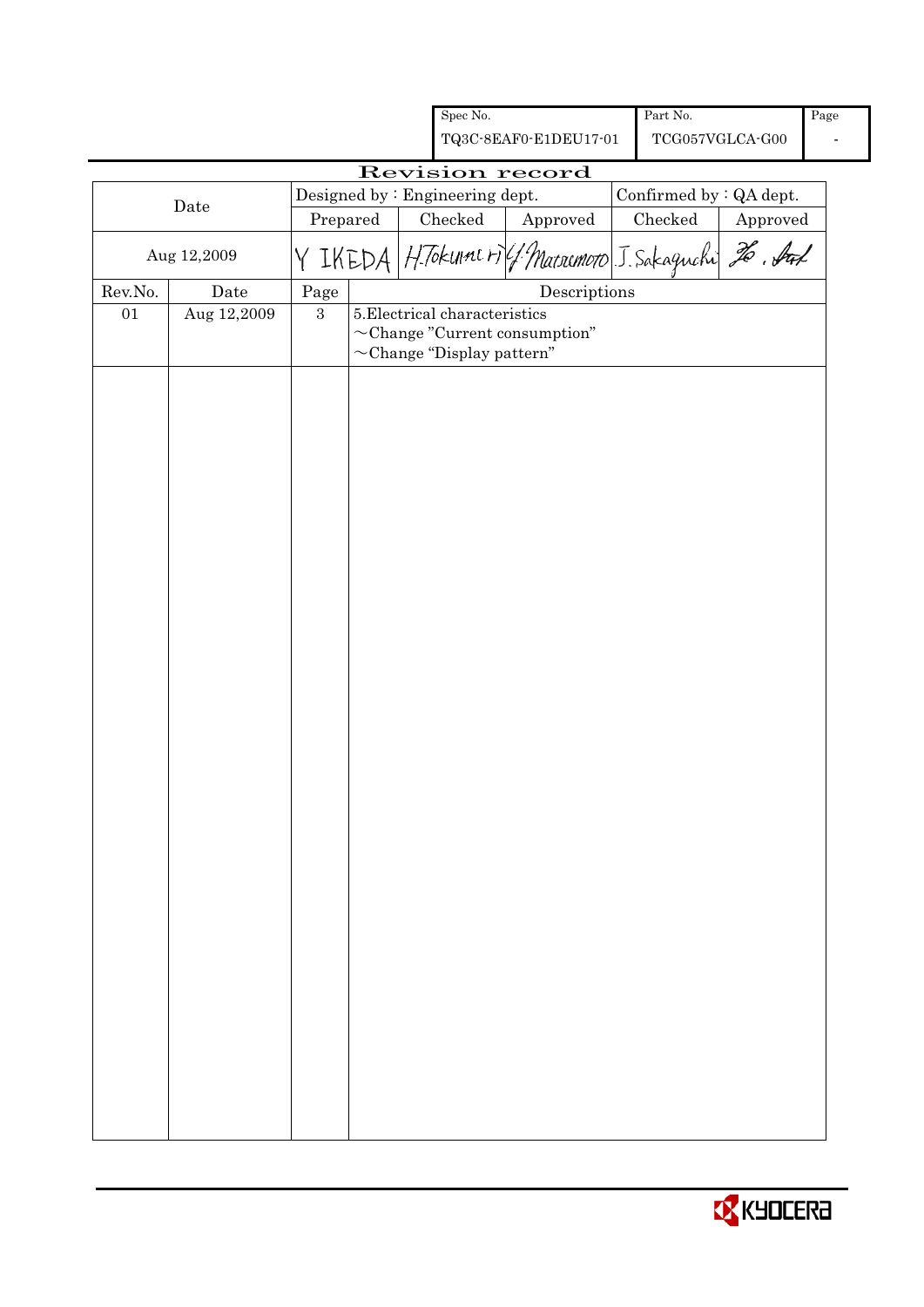|         |                 |                | Spec No.                                                                                                |                                                      | Part No.                |                                         | Page |
|---------|-----------------|----------------|---------------------------------------------------------------------------------------------------------|------------------------------------------------------|-------------------------|-----------------------------------------|------|
|         |                 |                |                                                                                                         | TQ3C-8EAF0-E1DEU17-01                                |                         | $\operatorname{TCG057VGLCA\text{-}G00}$ |      |
|         | Revision record |                |                                                                                                         |                                                      |                         |                                         |      |
|         | Date            |                | Designed by: Engineering dept.                                                                          |                                                      | Confirmed by : QA dept. |                                         |      |
|         |                 | Prepared       | $\rm Checked$                                                                                           | Approved                                             | Checked                 | Approved                                |      |
|         | Aug 12,2009     |                |                                                                                                         | Y IKEDA HTokunners (1 Marremoto J. Sakaguchi 20. Aux |                         |                                         |      |
| Rev.No. | Date            | Page           |                                                                                                         | $\label{eq:2} \textbf{Descriptions}$                 |                         |                                         |      |
| $01\,$  | Aug 12,2009     | $\overline{3}$ | 5. Electrical characteristics<br>$\sim$ Change "Current consumption"<br>$\sim$ Change "Display pattern" |                                                      |                         |                                         |      |
|         |                 |                |                                                                                                         |                                                      |                         |                                         |      |
|         |                 |                |                                                                                                         |                                                      |                         |                                         |      |

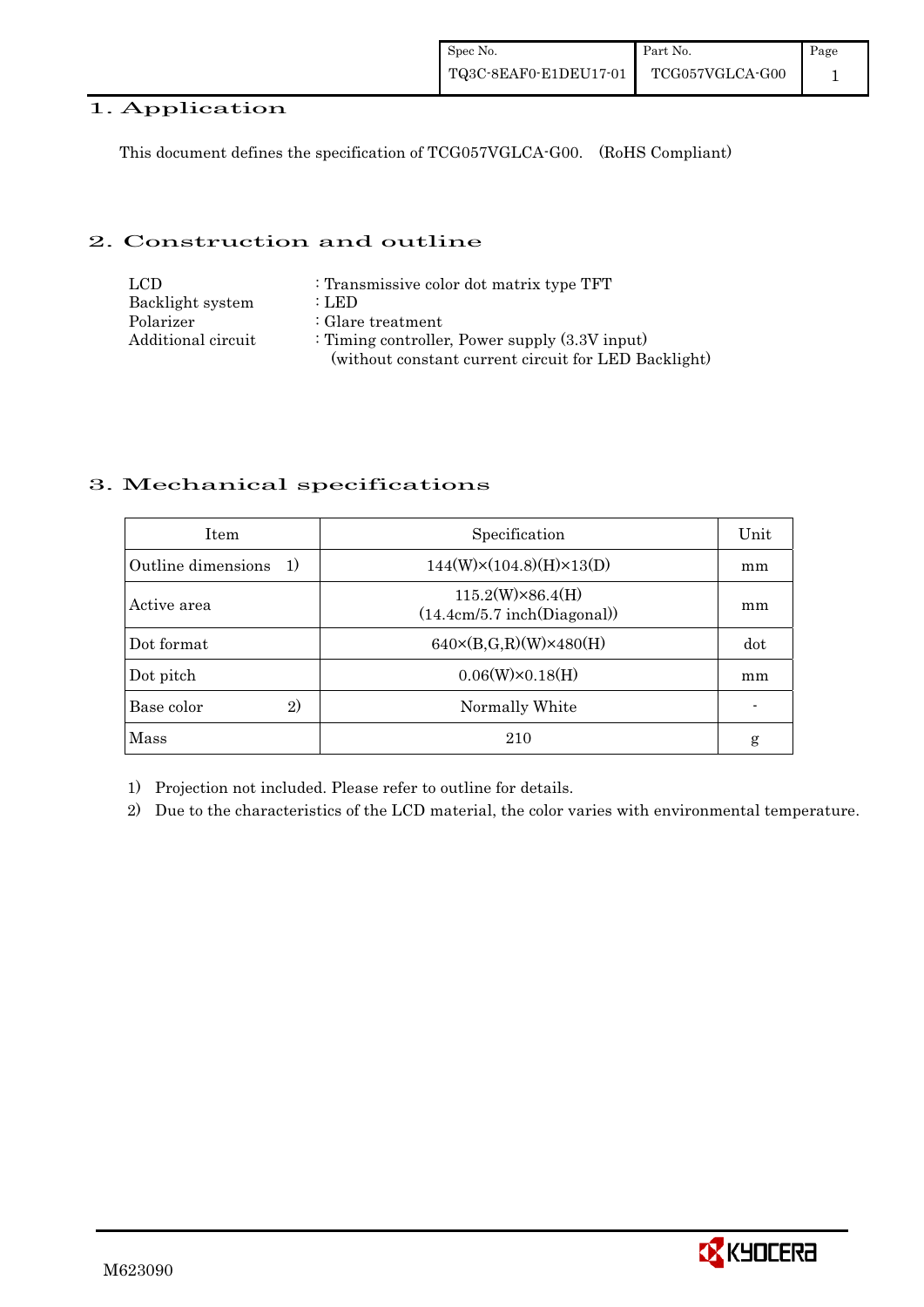## 1. Application

This document defines the specification of TCG057VGLCA-G00. (RoHS Compliant)

### 2. Construction and outline

| LCD                | : Transmissive color dot matrix type TFT             |
|--------------------|------------------------------------------------------|
| Backlight system   | : LED                                                |
| Polarizer          | $:$ Glare treatment                                  |
| Additional circuit | : Timing controller, Power supply $(3.3V)$ input)    |
|                    | (without constant current circuit for LED Backlight) |

## 3. Mechanical specifications

| <b>Item</b>               | Specification                                          | Unit |
|---------------------------|--------------------------------------------------------|------|
| Outline dimensions<br>-1) | $144(W)\times(104.8)(H)\times13(D)$                    | mm   |
| Active area               | $115.2(W)\times86.4(H)$<br>(14.4cm/5.7 inch(Diagonal)) | mm   |
| Dot format                | $640 \times (B,G,R)(W) \times 480(H)$                  | dot  |
| Dot pitch                 | $0.06(W)\times0.18(H)$                                 | mm   |
| Base color<br>2)          | Normally White                                         |      |
| Mass                      | 210                                                    | g    |

1) Projection not included. Please refer to outline for details.

2) Due to the characteristics of the LCD material, the color varies with environmental temperature.

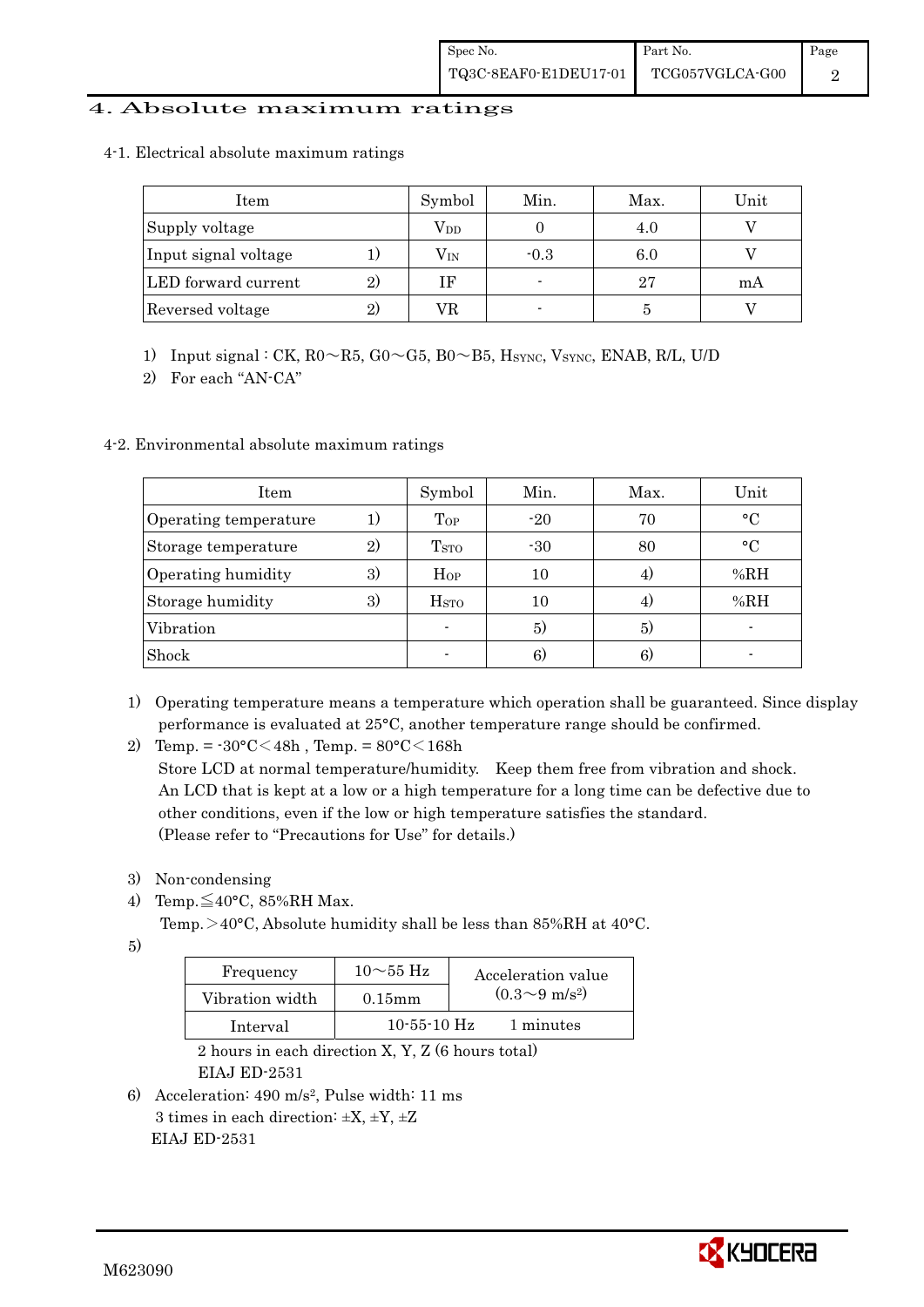#### 4. Absolute maximum ratings

4-1.Electrical absolute maximum ratings

| Item                 |    | Symbol       | Min.   | Max. | Unit |
|----------------------|----|--------------|--------|------|------|
| Supply voltage       |    | $\rm V_{DD}$ |        | 4.U  |      |
| Input signal voltage |    | $\rm V_{IN}$ | $-0.3$ | 6.0  |      |
| LED forward current  | 2) | ΙF           |        | 27   | mА   |
| Reversed voltage     | 2) | VR           |        |      |      |

1) Input signal : CK,  $R0 \sim R5$ ,  $G0 \sim G5$ ,  $B0 \sim B5$ ,  $H_{\text{SYNC}}$ , Vsync, ENAB, R/L, U/D

2) For each "AN-CA"

#### 4-2. Environmental absolute maximum ratings

| <b>Item</b>           |    | Symbol                  | Min.  | Max.           | Unit      |
|-----------------------|----|-------------------------|-------|----------------|-----------|
| Operating temperature |    | Top                     | $-20$ | 70             | $\circ$ C |
| Storage temperature   | 2) | T <sub>STO</sub>        | $-30$ | 80             | $\circ$ C |
| Operating humidity    | 3) | Hop                     | 10    | $\overline{4}$ | %RH       |
| Storage humidity      | 3) | <b>H</b> <sub>sto</sub> | 10    | 4              | %RH       |
| Vibration             |    | ۰                       | 5)    | 5)             |           |
| Shock                 |    |                         | 6)    | 6)             |           |

- 1) Operating temperature means a temperature which operation shall be guaranteed. Since display performance is evaluated at 25°C, another temperature range should be confirmed.
- 2) Temp. =  $-30^{\circ}$ C $<$ 48h, Temp. =  $80^{\circ}$ C $<$ 168h

 Store LCD at normal temperature/humidity. Keep them free from vibration and shock. An LCD that is kept at a low or a high temperature for a long time can be defective due to other conditions, even if the low or high temperature satisfies the standard. (Please refer to "Precautions for Use" for details.)

- 3) Non-condensing
- 4) Temp. $\leq$ 40°C, 85%RH Max.
	- Temp.  $>$  40°C, Absolute humidity shall be less than 85%RH at 40°C.

5)

| Frequency       | $10\sim 55$ Hz    | Acceleration value         |
|-----------------|-------------------|----------------------------|
| Vibration width | $0.15$ mm         | $(0.3{\sim}9~{\rm m/s^2})$ |
| Interval        | $10 - 55 - 10$ Hz | 1 minutes                  |

 2 hours in each direction X, Y, Z (6 hours total) EIAJ ED-2531

6) Acceleration: 490 m/s2, Pulse width: 11 ms 3 times in each direction:  $\pm X$ ,  $\pm Y$ ,  $\pm Z$ EIAJ ED-2531

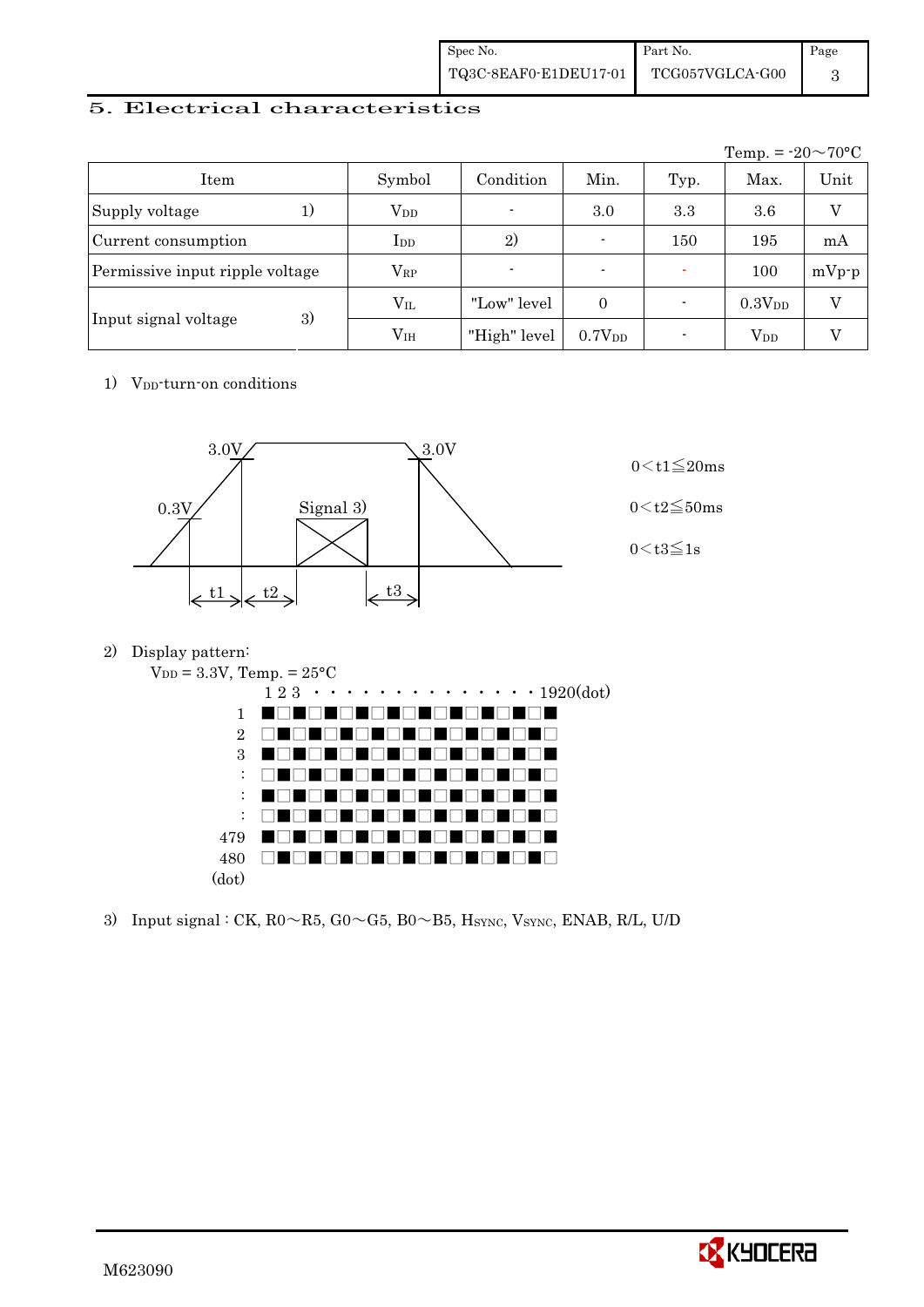| Spec No.              | Part No.                                | Page |
|-----------------------|-----------------------------------------|------|
| TQ3C-8EAF0-E1DEU17-01 | $\operatorname{TCG057VGLCA\text{-}G00}$ |      |

## 5. Electrical characteristics

|                                 |                 |                          |                          |      | Temp. = $-20 \sim 70$ °C |                |
|---------------------------------|-----------------|--------------------------|--------------------------|------|--------------------------|----------------|
| Item                            | Symbol          | Condition                | Min.                     | Typ. | Max.                     | Unit           |
| Supply voltage<br>1)            | $V_{DD}$        | $\overline{\phantom{a}}$ | 3.0                      | 3.3  | 3.6                      | $\overline{V}$ |
| Current consumption             | $_{\rm{LDD}}$   | 2)                       | $\overline{\phantom{0}}$ | 150  | 195                      | mA             |
| Permissive input ripple voltage | $\rm V_{RP}$    |                          | $\overline{\phantom{0}}$ |      | 100                      | $mVp-p$        |
|                                 | $\rm V_{II}$    | "Low" level              | $\Omega$                 |      | 0.3V <sub>DD</sub>       | $\rm _V$       |
| 3)<br>Input signal voltage      | V <sub>IH</sub> | "High" level             | 0.7V <sub>DD</sub>       |      | $\rm V_{DD}$             |                |

1) V<sub>DD</sub>-turn-on conditions



2) Display pattern:



|       | $1\ 2\ 3\ \cdot\cdot\cdot\cdot\cdot\cdot\cdot\cdot\cdot\cdot\cdot\cdot\cdot\cdot1920(\mathrm{dot})$ |
|-------|-----------------------------------------------------------------------------------------------------|
|       | <u>a La La La La La La</u><br>u T<br>$1 \quad \blacksquare \blacksquare$<br>. .                     |
| 2     | . .                                                                                                 |
|       | a ma dhe na sheka<br>3 <sub>1</sub><br>$\blacksquare$<br>.<br>. .                                   |
|       | M EN<br>TI TI<br>U FI<br>. .<br>$\mathbf{I}$<br>$\blacksquare$                                      |
|       | THE FILE<br>MI TEL<br>u I<br>$\mathbf{1}$<br>TI L                                                   |
|       | $\mathcal{L} \parallel \mathcal{L}$<br>.<br>$\mathbf{H}$<br>. .                                     |
| 479   | U I<br>88 L L<br>11 LB<br>.<br>$\blacksquare$                                                       |
| 480   | . .<br>.                                                                                            |
| (dot) |                                                                                                     |

3) Input signal : CK,  $R0 \sim R5$ ,  $G0 \sim G5$ ,  $B0 \sim B5$ ,  $H_{\text{SYNC}}$ , Vsync, ENAB, R/L, U/D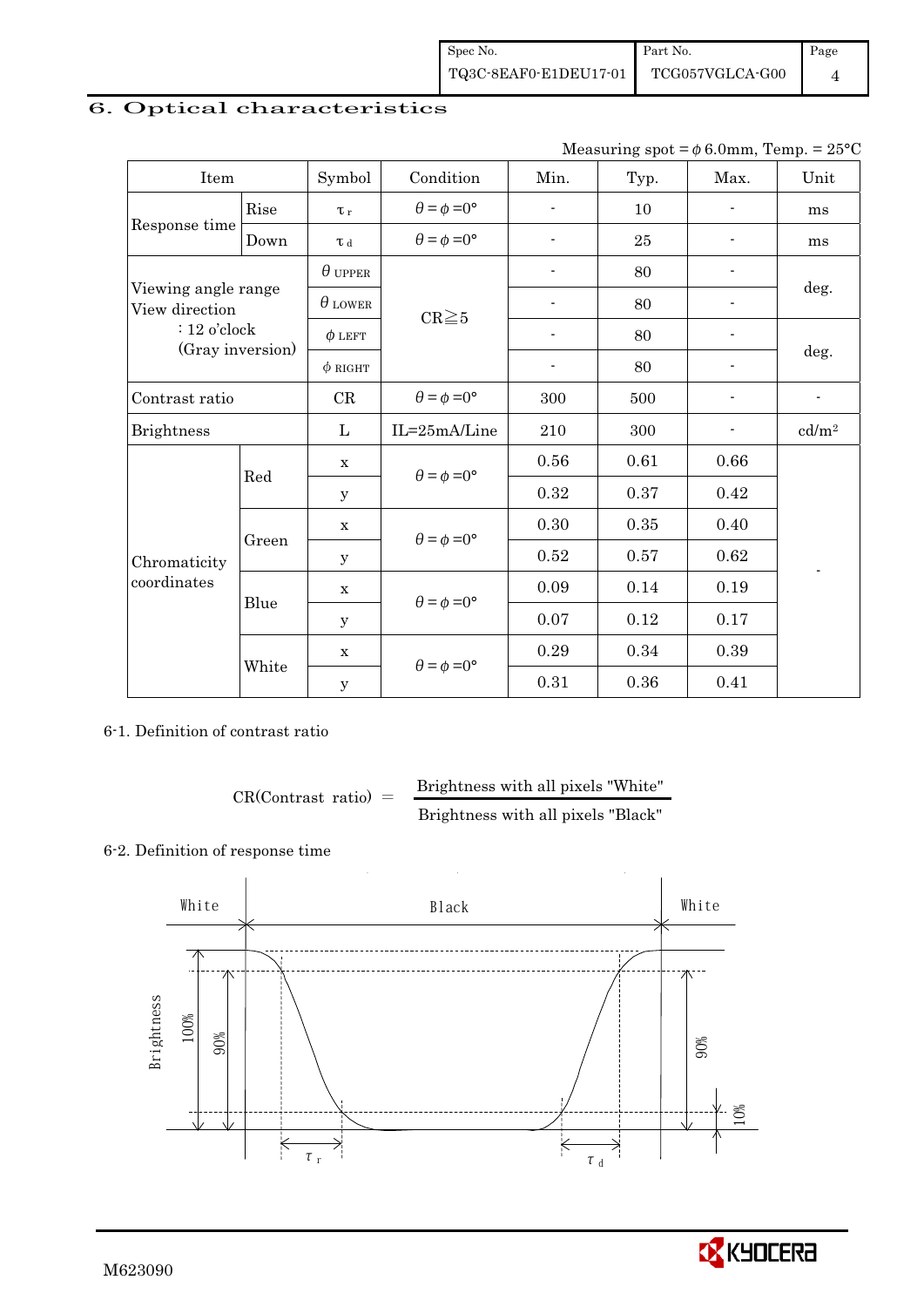## 6. Optical characteristics

Measuring spot =  $\phi$  6.0mm, Temp. = 25°C

| Item                                  |       | Symbol         | Condition                   | Min.                     | Typ.       | Max.                     | Unit                       |  |
|---------------------------------------|-------|----------------|-----------------------------|--------------------------|------------|--------------------------|----------------------------|--|
|                                       | Rise  | $\tau_r$       | $\theta = \phi = 0^{\circ}$ |                          | 10         |                          | ms                         |  |
| Response time                         | Down  | $\tau$ d       | $\theta = \phi = 0^{\circ}$ | $\overline{\phantom{0}}$ | 25         |                          | ms                         |  |
|                                       |       | $\theta$ upper |                             |                          | 80         |                          |                            |  |
| Viewing angle range<br>View direction |       | $\theta$ lower | $CR \geq 5$                 |                          | 80         |                          | deg.                       |  |
| $: 12$ o'clock                        |       | $\phi$ LEFT    |                             | $\overline{a}$           | 80         | $\overline{\phantom{a}}$ |                            |  |
| (Gray inversion)                      |       | $\phi$ RIGHT   |                             | $\overline{\phantom{a}}$ | 80         | $\overline{\phantom{a}}$ | deg.                       |  |
| Contrast ratio                        |       | CR             | $\theta = \phi = 0^{\circ}$ | 300                      | 500        |                          | $\overline{\phantom{a}}$   |  |
| <b>Brightness</b>                     |       | L              | IL=25mA/Line                | 210                      | 300        |                          | $\mathrm{cd}/\mathrm{m}^2$ |  |
|                                       | Red   | $\mathbf X$    | $\theta = \phi = 0^{\circ}$ | 0.56                     | 0.61       | 0.66                     |                            |  |
|                                       |       | y              |                             | 0.32                     | 0.37       | 0.42                     |                            |  |
|                                       |       | $\mathbf X$    |                             | 0.30                     | $\rm 0.35$ | 0.40                     |                            |  |
| Chromaticity                          | Green | У              | $\theta = \phi = 0^{\circ}$ | 0.52                     | 0.57       | 0.62                     |                            |  |
| coordinates                           | Blue  | $\mathbf X$    |                             | 0.09                     | 0.14       | 0.19                     |                            |  |
|                                       |       | $\mathbf y$    | $\theta = \phi = 0^{\circ}$ | 0.07                     | 0.12       | 0.17                     |                            |  |
|                                       |       | $\mathbf X$    | $\theta = \phi = 0^{\circ}$ | 0.29                     | 0.34       | 0.39                     |                            |  |
|                                       | White | $\mathbf y$    |                             | 0.31                     | 0.36       | 0.41                     |                            |  |

6-1. Definition of contrast ratio

 $CR(Contrast ratio) =$  Brightness with all pixels "White" Brightness with all pixels "Black"

#### 6-2. Definition of response time



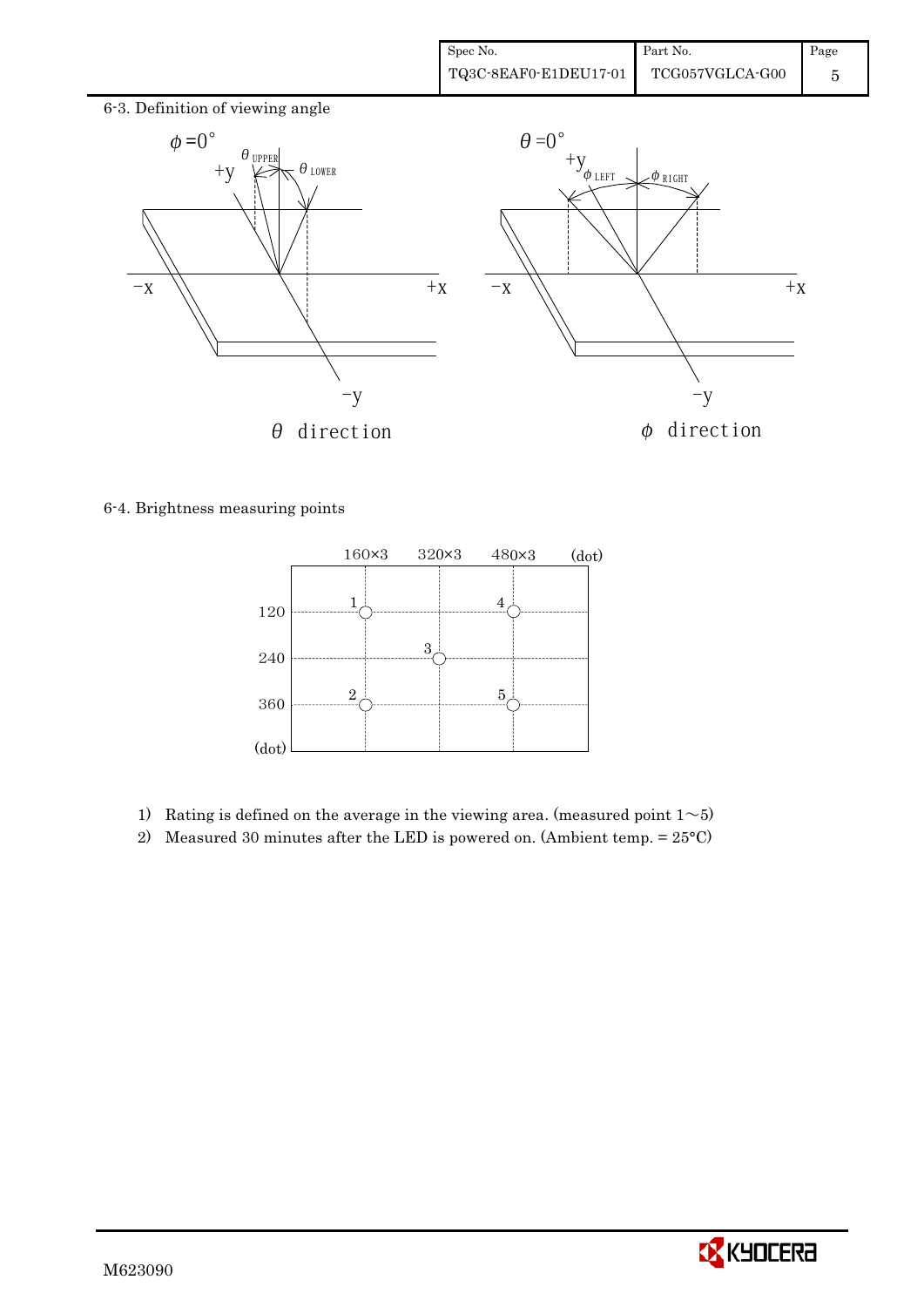

6-4. Brightness measuring points



- 1) Rating is defined on the average in the viewing area. (measured point  $1~>5$ )
- 2) Measured 30 minutes after the LED is powered on. (Ambient temp.  $= 25^{\circ}$ C)

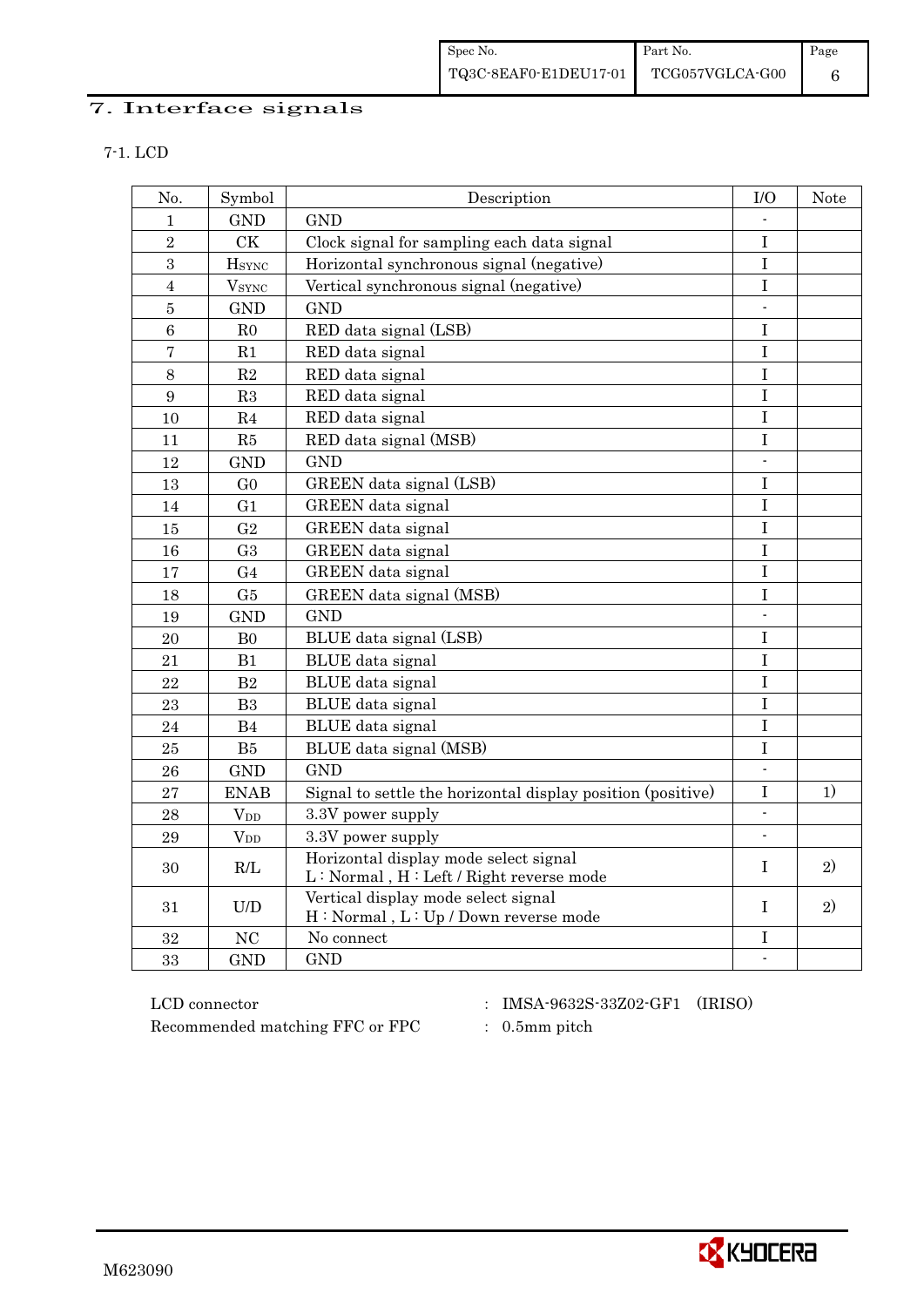| Spec No.                              | Part No. | Page |
|---------------------------------------|----------|------|
| TQ3C-8EAF0-E1DEU17-01 TCG057VGLCA-G00 |          |      |

## 7. Interface signals

| I |
|---|
|---|

| No.             | Symbol         | Description                                                                      | $\rm I/O$                | <b>Note</b> |
|-----------------|----------------|----------------------------------------------------------------------------------|--------------------------|-------------|
| $\mathbf{1}$    | <b>GND</b>     | <b>GND</b>                                                                       |                          |             |
| $\sqrt{2}$      | <b>CK</b>      | Clock signal for sampling each data signal                                       | $\mathbf I$              |             |
| $\overline{3}$  | <b>H</b> sync  | Horizontal synchronous signal (negative)                                         | $\bf I$                  |             |
| $\overline{4}$  | $V_{\rm SYNC}$ | Vertical synchronous signal (negative)                                           | $\bf I$                  |             |
| $\bf 5$         | <b>GND</b>     | <b>GND</b>                                                                       | $\mathbb{L}$             |             |
| $6\phantom{.}6$ | R <sub>0</sub> | RED data signal (LSB)                                                            | I                        |             |
| $\overline{7}$  | R1             | RED data signal                                                                  | I                        |             |
| 8               | R2             | RED data signal                                                                  | I                        |             |
| 9               | R3             | RED data signal                                                                  | I                        |             |
| 10              | R <sub>4</sub> | RED data signal                                                                  | $\bf I$                  |             |
| 11              | R5             | RED data signal (MSB)                                                            | $\bf I$                  |             |
| 12              | <b>GND</b>     | <b>GND</b>                                                                       | $\overline{\phantom{a}}$ |             |
| 13              | G <sub>0</sub> | GREEN data signal (LSB)                                                          | $\rm I$                  |             |
| 14              | G <sub>1</sub> | GREEN data signal                                                                | I                        |             |
| 15              | G <sub>2</sub> | GREEN data signal                                                                | $\mathbf I$              |             |
| 16              | G <sub>3</sub> | GREEN data signal                                                                | I                        |             |
| 17              | G <sub>4</sub> | GREEN data signal                                                                | I                        |             |
| 18              | G5             | GREEN data signal (MSB)                                                          | $\mathbf I$              |             |
| 19              | <b>GND</b>     | <b>GND</b>                                                                       |                          |             |
| 20              | B <sub>0</sub> | BLUE data signal (LSB)                                                           | I                        |             |
| 21              | B1             | BLUE data signal                                                                 | $\rm I$                  |             |
| 22              | B2             | BLUE data signal                                                                 | I                        |             |
| 23              | B <sub>3</sub> | BLUE data signal                                                                 | $\rm I$                  |             |
| 24              | B <sub>4</sub> | BLUE data signal                                                                 | $\bf I$                  |             |
| 25              | B5             | BLUE data signal (MSB)                                                           | I                        |             |
| 26              | <b>GND</b>     | <b>GND</b>                                                                       | $\overline{\phantom{a}}$ |             |
| 27              | <b>ENAB</b>    | Signal to settle the horizontal display position (positive)                      | Ι                        | 1)          |
| 28              | $V_{DD}$       | 3.3V power supply                                                                | $\mathbf{r}$             |             |
| 29              | $V_{DD}$       | 3.3V power supply                                                                |                          |             |
| 30              | R/L            | Horizontal display mode select signal<br>L: Normal, H: Left / Right reverse mode | I                        | 2)          |
| 31              | U/D            | Vertical display mode select signal<br>H: Normal, L: Up / Down reverse mode      | T                        | 2)          |
| 32              | NC             | No connect                                                                       | I                        |             |
| 33              | <b>GND</b>     | <b>GND</b>                                                                       | $\Box$                   |             |

 ${\rm LCD~connector}~~:~~{\rm IMSA\text{-}9632S\text{-}33Z02\text{-}GF1}~~({\rm IRISO})$ Recommended matching FFC or FPC : 0.5mm pitch

- 
- 

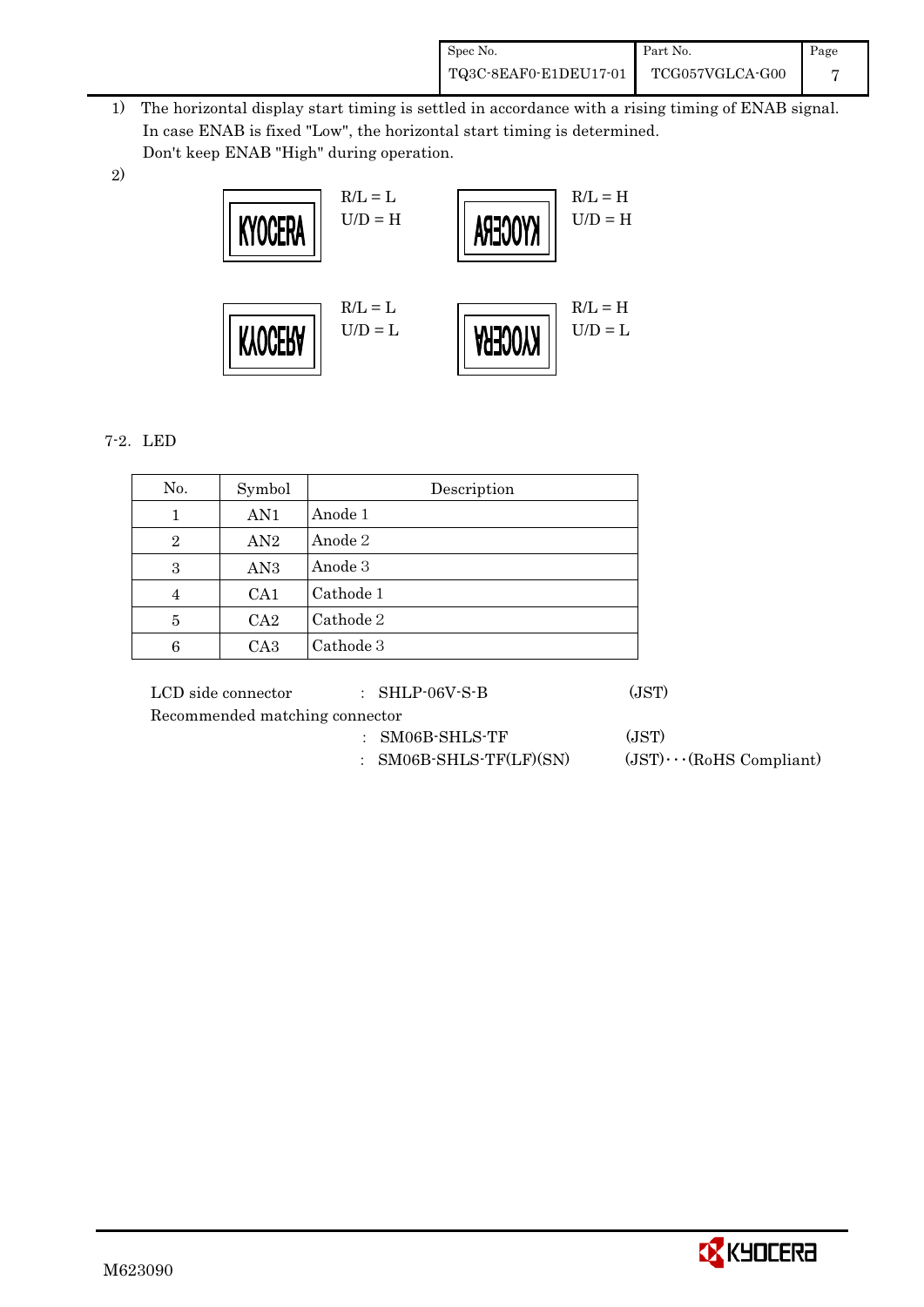| Spec No.              | Part No.        | Page |
|-----------------------|-----------------|------|
| TQ3C-8EAF0-E1DEU17-01 | TCG057VGLCA-G00 |      |

- 1) The horizontal display start timing is settled in accordance with a rising timing of ENAB signal. In case ENAB is fixed "Low", the horizontal start timing is determined. Don't keep ENAB "High" during operation.
- 2)



## 7-2. LED

| No.            | Symbol          | Description |
|----------------|-----------------|-------------|
| 1              | AN1             | Anode 1     |
| $\overline{2}$ | AN2             | Anode 2     |
| 3              | AN <sub>3</sub> | Anode 3     |
| 4              | CA <sub>1</sub> | Cathode 1   |
| 5              | CA2             | Cathode 2   |
| 6              | CA <sub>3</sub> | Cathode 3   |

LCD side connector  $\qquad \qquad : \text{SHLP-06V-S-B}$  (JST)

Recommended matching connector

- ' SM06B-SHLS-TF (JST)
- : SM06B-SHLS-TF(LF)(SN)  $(JST)\cdots$ (RoHS Compliant)

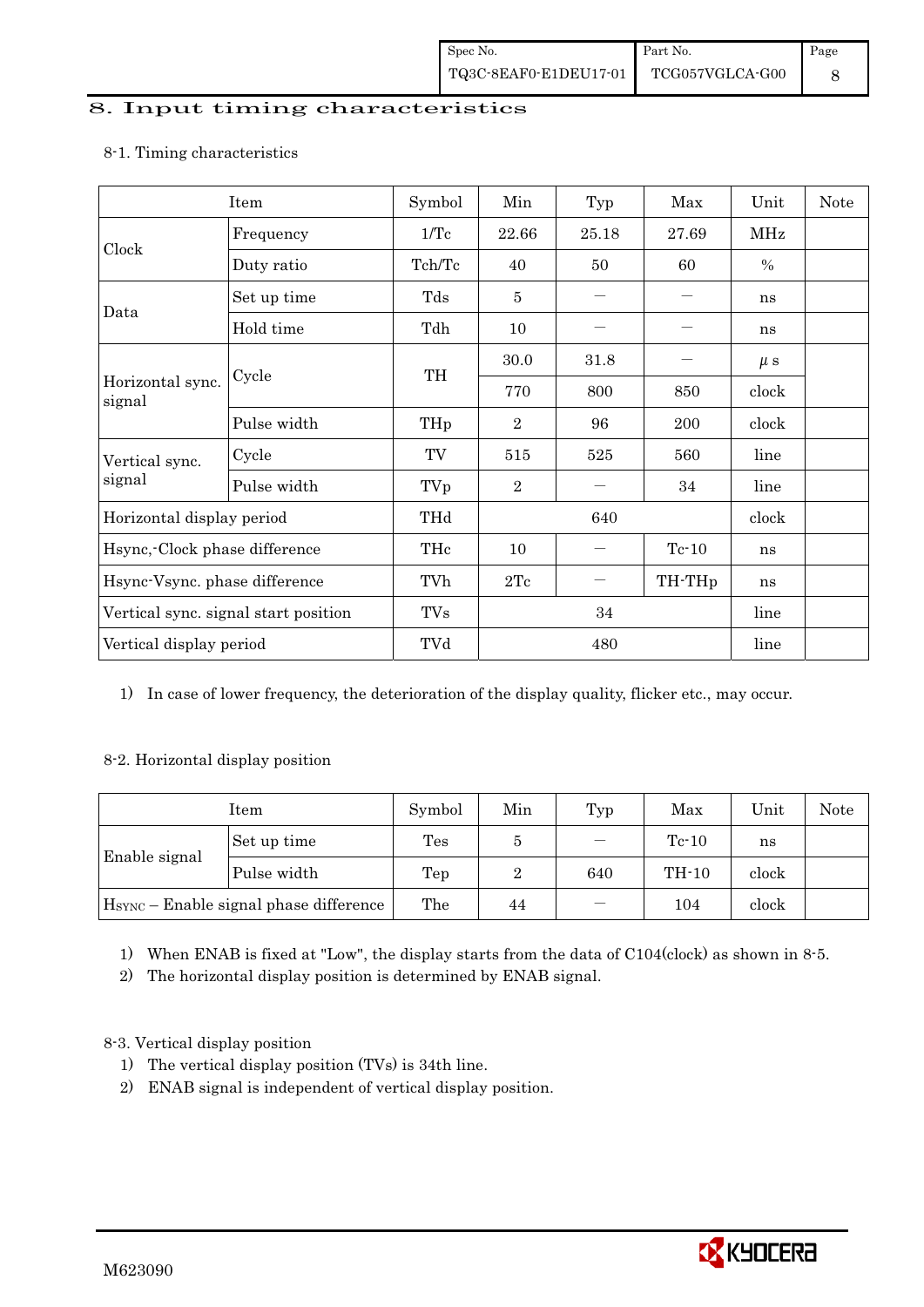#### 8. Input timing characteristics

# Item Symbol Min Typ Max Unit Note Frequency 1/Tc 22.66 25.18 27.69 MHz Clock Duty ratio  $Tch/Tc$  40 50 60 % Set up time Tds 5 , , ns Data Hold time  $\left| \begin{array}{ccc} \text{Tdh} & \text{10} \\ \text{10} & \text{--} \\ \end{array} \right|$   $-$  ns  $30.0$   $31.8$   $\mu s$ Cycle TH Horizontal sync. Cycle TH 770 800 850 clock signal Pulse width  $THp \mid 2 \mid 96 \mid 200 \mid clock$ Cycle TV 515 525 560 line Vertical sync. signal Pulse width TVp 2 , 34 line Horizontal display period THd 640 640 clock Hsync,-Clock phase difference  $\vert$  THc  $\vert$  10  $\vert$  - Tc-10  $\vert$  ns Hsync-Vsync. phase difference  $\vert$  TVh  $\vert$  2Tc  $\vert$  – TH-THp  $\vert$  ns Vertical sync. signal start position TVs 34 line Vertical display period  $\overline{V}$  TVd  $\overline{480}$  line

#### 8-1. Timing characteristics

1) In case of lower frequency, the deterioration of the display quality, flicker etc., may occur.

#### 8-2. Horizontal display position

| Item                                               |             | Symbol | Min | Typ | Max     | Unit  | <b>Note</b> |
|----------------------------------------------------|-------------|--------|-----|-----|---------|-------|-------------|
|                                                    | Set up time | Tes    | G   |     | $Tc-10$ | ns    |             |
| Enable signal                                      | Pulse width | Tep    | 2   | 640 | $TH-10$ | clock |             |
| H <sub>SYNC</sub> - Enable signal phase difference |             | The    | 44  |     | 104     | clock |             |

1) When ENAB is fixed at "Low", the display starts from the data of C104(clock) as shown in 8-5.

2) The horizontal display position is determined by ENAB signal.

## 8-3. Vertical display position

- 1) The vertical display position (TVs) is 34th line.
- 2) ENAB signal is independent of vertical display position.

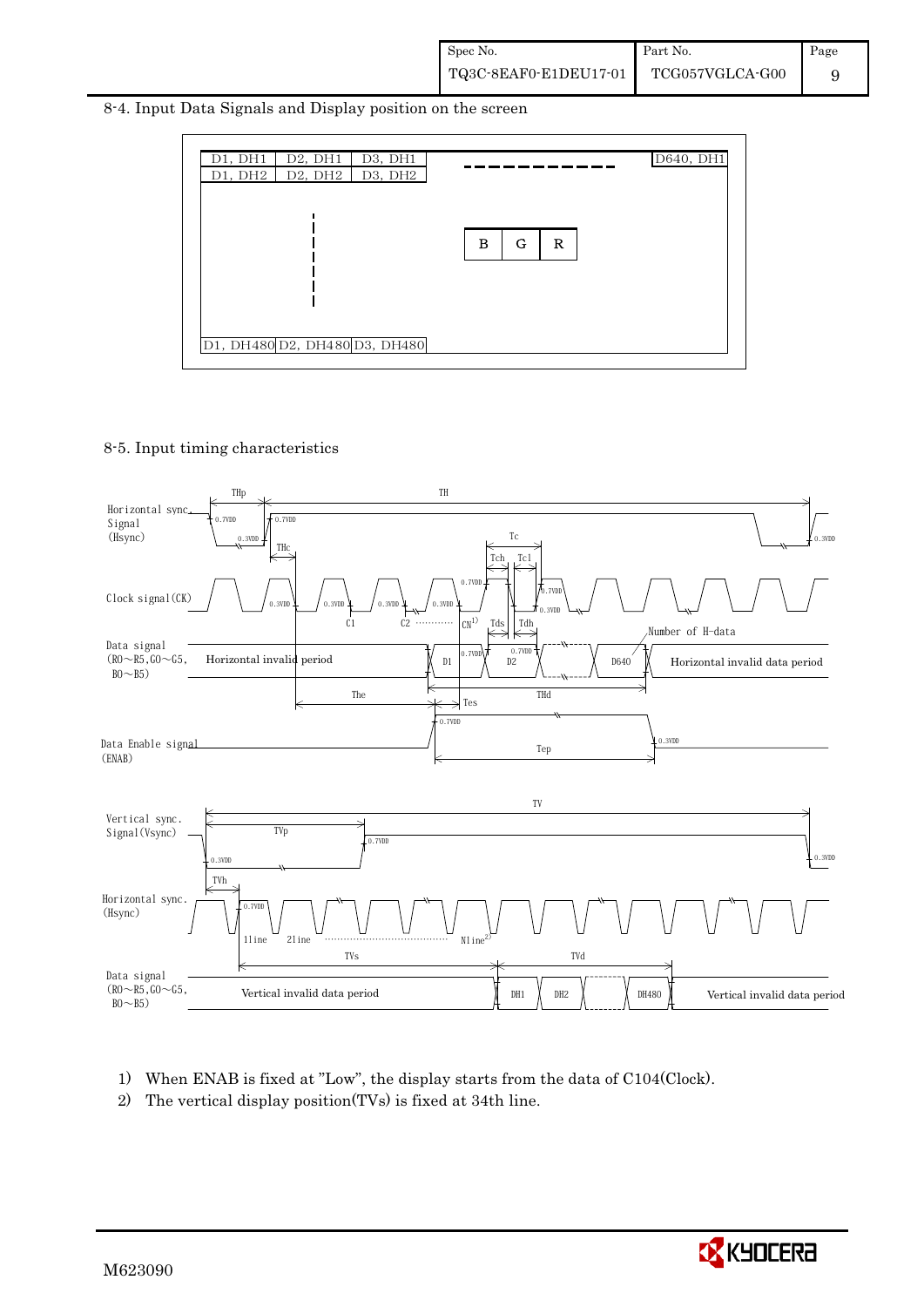8-4. Input Data Signals and Display position on the screen



#### 8-5. Input timing characteristics



- 1) When ENAB is fixed at "Low", the display starts from the data of C104(Clock).
- 2) The vertical display position(TVs) is fixed at 34th line.

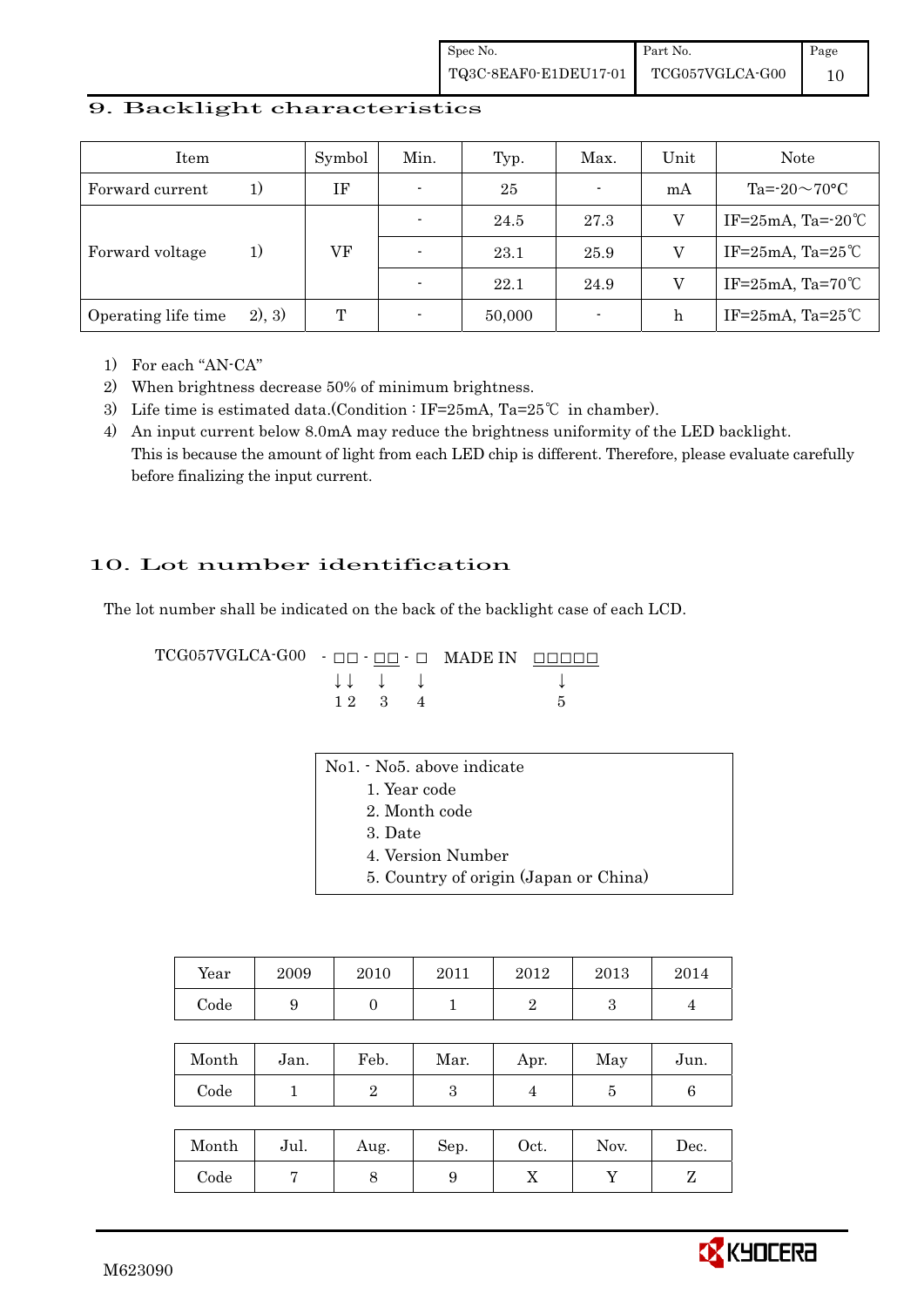#### 9. Backlight characteristics

| Item                |        | Symbol | Min.                     | Typ.   | Max.                     | Unit | Note                     |
|---------------------|--------|--------|--------------------------|--------|--------------------------|------|--------------------------|
| Forward current     | 1)     | ΙF     | $\overline{\phantom{a}}$ | 25     | $\overline{\phantom{a}}$ | mA   | $Ta = 20 \sim 70$ °C     |
|                     | 1)     |        |                          | 24.5   | 27.3                     |      | IF= $25mA$ , Ta= $-20°C$ |
| Forward voltage     |        | VF     | $\overline{\phantom{0}}$ | 23.1   | 25.9                     | V    | IF=25mA, Ta=25 $°C$      |
|                     |        |        |                          | 22.1   | 24.9                     |      | IF=25mA, Ta=70 $°C$      |
| Operating life time | 2), 3) | T      |                          | 50,000 | $\blacksquare$           | h    | IF=25mA, Ta=25 $°C$      |

- 1) For each "AN-CA"
- 2) When brightness decrease 50% of minimum brightness.
- 3) Life time is estimated data.(Condition : IF=25mA, Ta=25°C in chamber).
- 4) An input current below 8.0mA may reduce the brightness uniformity of the LED backlight. This is because the amount of light from each LED chip is different. Therefore, please evaluate carefully before finalizing the input current.

## 10. Lot number identification

 $1 2 3 4 5$ 

The lot number shall be indicated on the back of the backlight case of each LCD.

 ${\tt TCG057VGLCA\text{-}GO0\quad \text{-}\text{ $\square$}\text{ $\text{-}\text{ $\square$}}\text{-}\text{ $\square$}\quad {\tt MADE IN}\quad \text{\underline{}\text{$\square$}\text{$\square$}\text{$\square$}}$  $\downarrow \downarrow \quad \downarrow \qquad \qquad \downarrow$ 

| No1. - No5. above indicate            |  |
|---------------------------------------|--|
| 1. Year code                          |  |
| 2. Month code                         |  |
| 3. Date                               |  |
| 4. Version Number                     |  |
| 5. Country of origin (Japan or China) |  |
|                                       |  |

| Year | 2009 | 2010 | 2011 | 2012 | 2013 | 2014 |
|------|------|------|------|------|------|------|
| Code |      |      |      |      |      |      |

| Month      | Jan. | Feb. | Mar. | Apr. | May | Jun. |
|------------|------|------|------|------|-----|------|
| $\rm Code$ |      |      |      |      |     |      |

| Month      | Jul. | Aug. | Sep. | Oct. | Nov. | $\operatorname{Dec.}$ |
|------------|------|------|------|------|------|-----------------------|
| $\rm Code$ |      |      |      | ∡⊾   |      |                       |

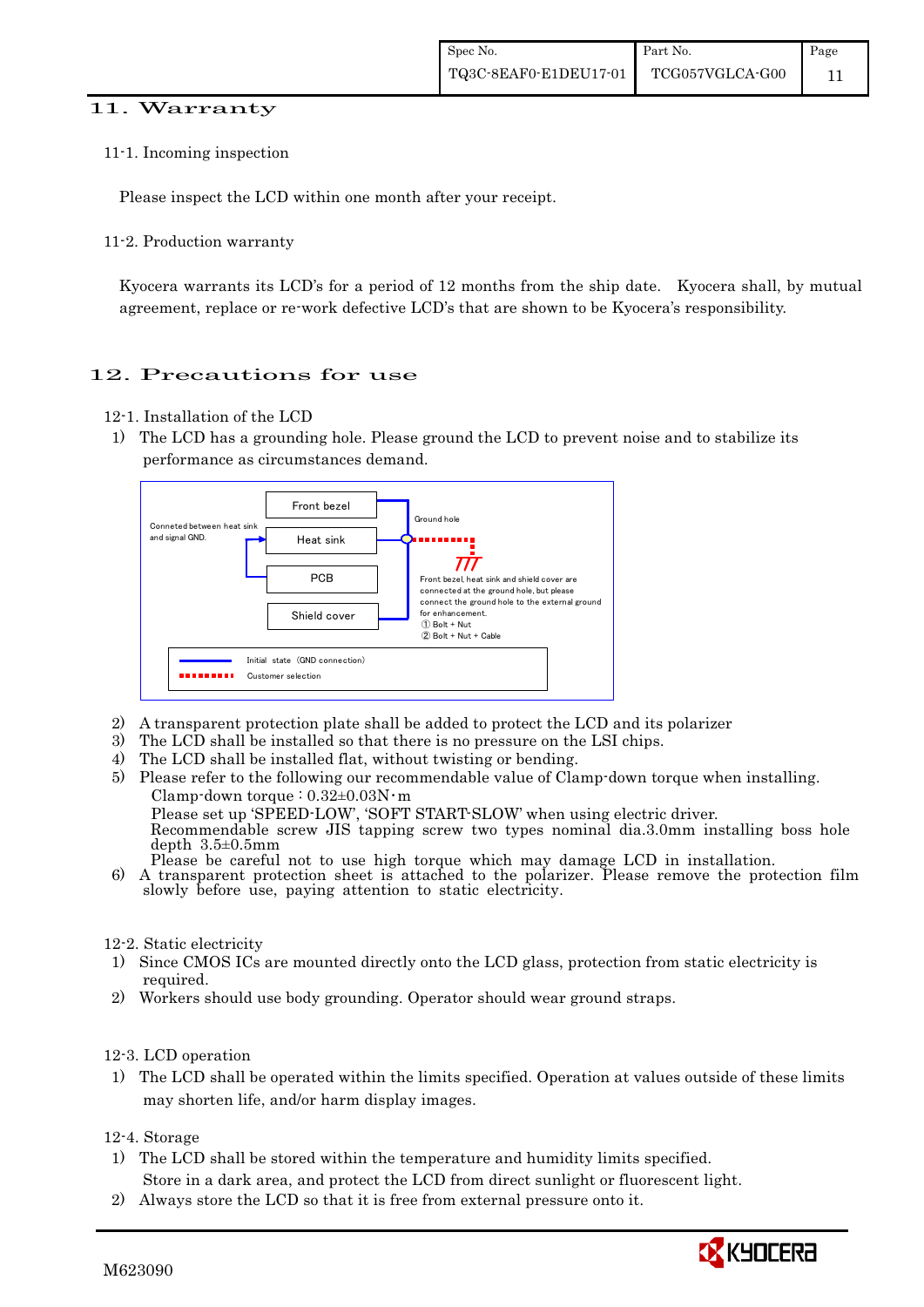#### 11. Warranty

11-1. Incoming inspection

Please inspect the LCD within one month after your receipt.

11-2. Production warranty

 Kyocera warrants its LCD's for a period of 12 months from the ship date. Kyocera shall, by mutual agreement, replace or re-work defective LCD's that are shown to be Kyocera's responsibility.

## 12. Precautions for use

- 12-1. Installation of the LCD
- 1) The LCD has a grounding hole. Please ground the LCD to prevent noise and to stabilize its performance as circumstances demand.



- 2) A transparent protection plate shall be added to protect the LCD and its polarizer
- 3) The LCD shall be installed so that there is no pressure on the LSI chips.
- 4) The LCD shall be installed flat, without twisting or bending.
- 5) Please refer to the following our recommendable value of Clamp-down torque when installing. Clamp-down torque :  $0.32\pm0.03$ N·m Please set up 'SPEED-LOW', 'SOFT START-SLOW' when using electric driver. Recommendable screw JIS tapping screw two types nominal dia.3.0mm installing boss hole depth 3.5±0.5mm<br>Please be careful not to use high torque which may damage LCD in installation. 6) A transparent protection sheet is attached to the polarizer. Please remove the protection film slowly before use, paying attention to static electricity.

#### 12-2. Static electricity

- 1) Since CMOS ICs are mounted directly onto the LCD glass, protection from static electricity is required.
- 2) Workers should use body grounding. Operator should wear ground straps.

#### 12-3. LCD operation

1) The LCD shall be operated within the limits specified. Operation at values outside of these limits may shorten life, and/or harm display images.

12-4. Storage

- 1) The LCD shall be stored within the temperature and humidity limits specified. Store in a dark area, and protect the LCD from direct sunlight or fluorescent light.
- 
- 2) Always store the LCD so that it is free from external pressure onto it.

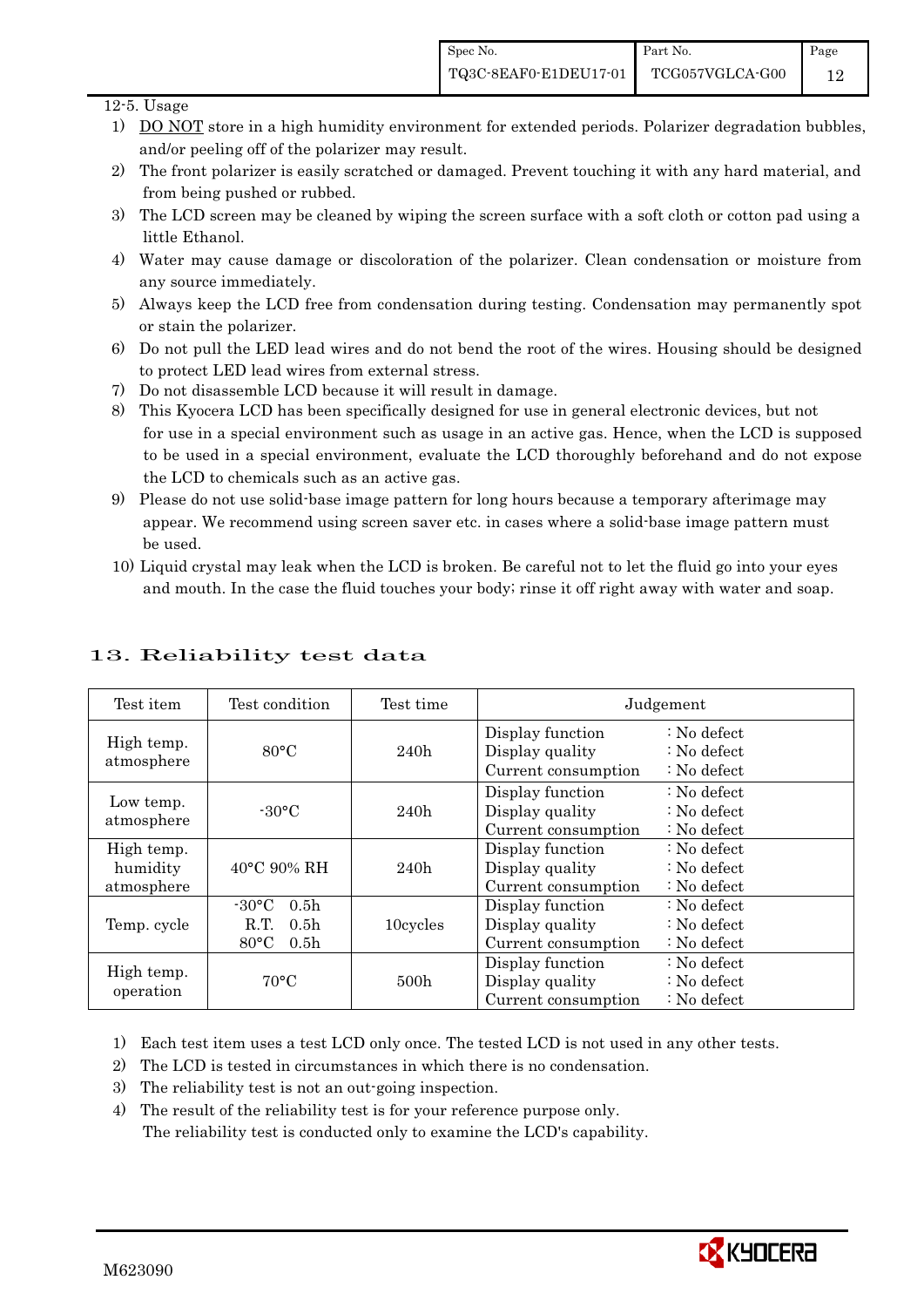#### $12-5$ . Usage

- 1) DO NOT store in a high humidity environment for extended periods. Polarizer degradation bubbles, and/or peeling off of the polarizer may result.
- 2) The front polarizer is easily scratched or damaged. Prevent touching it with any hard material, and from being pushed or rubbed.
- 3) The LCD screen may be cleaned by wiping the screen surface with a soft cloth or cotton pad using a little Ethanol.
- 4) Water may cause damage or discoloration of the polarizer. Clean condensation or moisture from any source immediately.
- 5) Always keep the LCD free from condensation during testing. Condensation may permanently spot or stain the polarizer.
- 6) Do not pull the LED lead wires and do not bend the root of the wires. Housing should be designed to protect LED lead wires from external stress.
- 7) Do not disassemble LCD because it will result in damage.
- 8) This Kyocera LCD has been specifically designed for use in general electronic devices, but not for use in a special environment such as usage in an active gas. Hence, when the LCD is supposed to be used in a special environment, evaluate the LCD thoroughly beforehand and do not expose the LCD to chemicals such as an active gas.
- 9) Please do not use solid-base image pattern for long hours because a temporary afterimage may appear. We recommend using screen saver etc. in cases where a solid-base image pattern must be used.
- 10) Liquid crystal may leak when the LCD is broken. Be careful not to let the fluid go into your eyes and mouth. In the case the fluid touches your body; rinse it off right away with water and soap.

| Test item                            | Test condition                                                                                        | Test time        | Judgement                                                  |                                                                            |  |
|--------------------------------------|-------------------------------------------------------------------------------------------------------|------------------|------------------------------------------------------------|----------------------------------------------------------------------------|--|
| High temp.<br>atmosphere             | $80^{\circ}$ C                                                                                        | 240h             | Display function<br>Display quality<br>Current consumption | $\therefore$ No defect<br>$\therefore$ No defect<br>: No defect            |  |
| Low temp.<br>atmosphere              | $-30^{\circ}$ C                                                                                       | 240h             | Display function<br>Display quality<br>Current consumption | $\therefore$ No defect<br>$\therefore$ No defect<br>$\therefore$ No defect |  |
| High temp.<br>humidity<br>atmosphere | $40^{\circ}$ C 90% RH                                                                                 | 240h             | Display function<br>Display quality<br>Current consumption | $: No$ defect<br>$\therefore$ No defect<br>$: No$ defect                   |  |
| Temp. cycle                          | $-30^{\circ}$ C<br>0.5 <sub>h</sub><br>R.T.<br>0.5 <sub>h</sub><br>$80^{\circ}$ C<br>0.5 <sub>h</sub> | 10cycles         | Display function<br>Display quality<br>Current consumption | $\therefore$ No defect<br>$\therefore$ No defect<br>$\therefore$ No defect |  |
| High temp.<br>operation              | $70^{\circ}$ C                                                                                        | 500 <sub>h</sub> | Display function<br>Display quality<br>Current consumption | $\therefore$ No defect<br>$\therefore$ No defect<br>$: No$ defect          |  |

## 13. Reliability test data

1) Each test item uses a test LCD only once. The tested LCD is not used in any other tests.

- 2) The LCD is tested in circumstances in which there is no condensation.
- 3) The reliability test is not an out-going inspection.

4) The result of the reliability test is for your reference purpose only. The reliability test is conducted only to examine the LCD's capability.

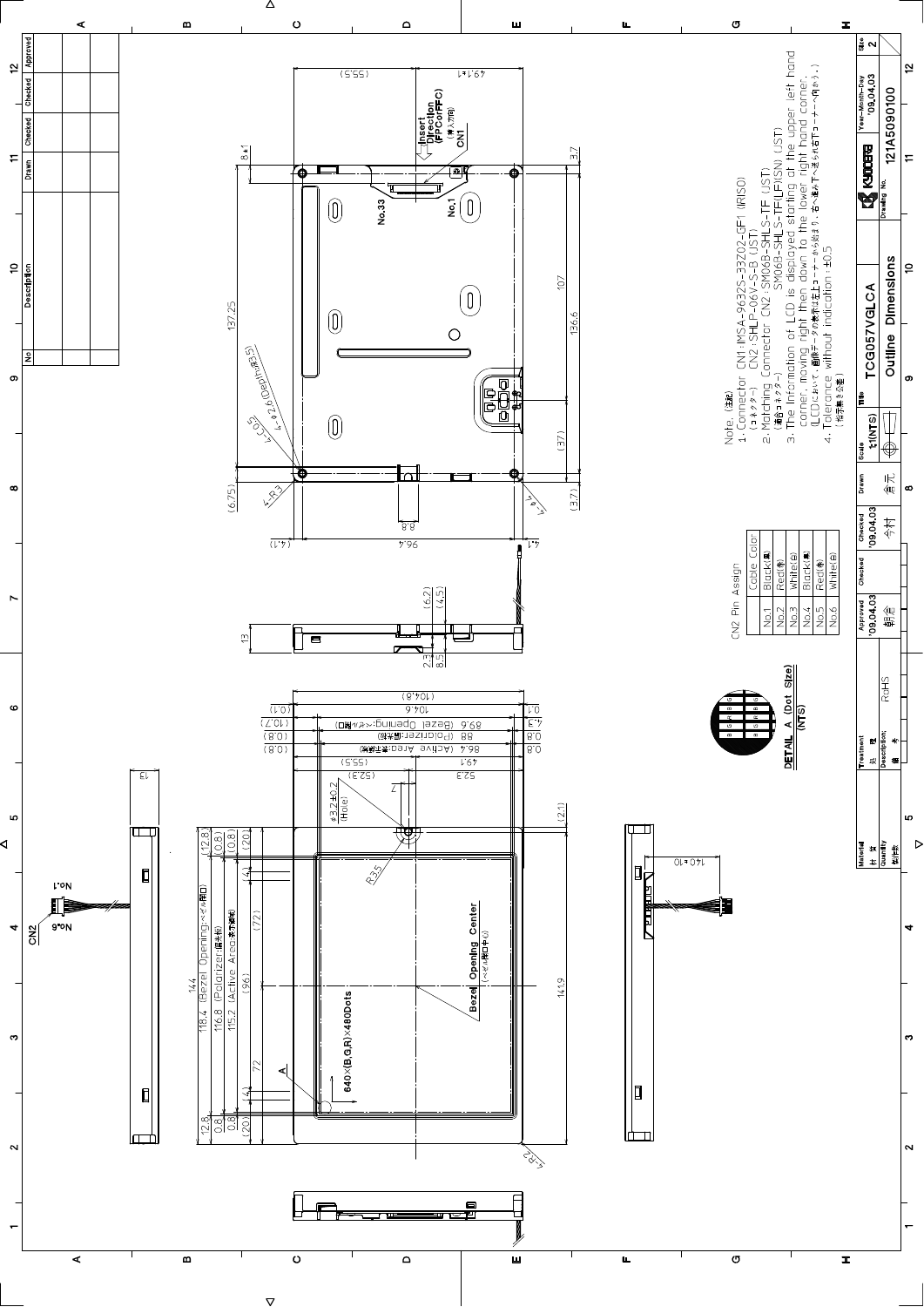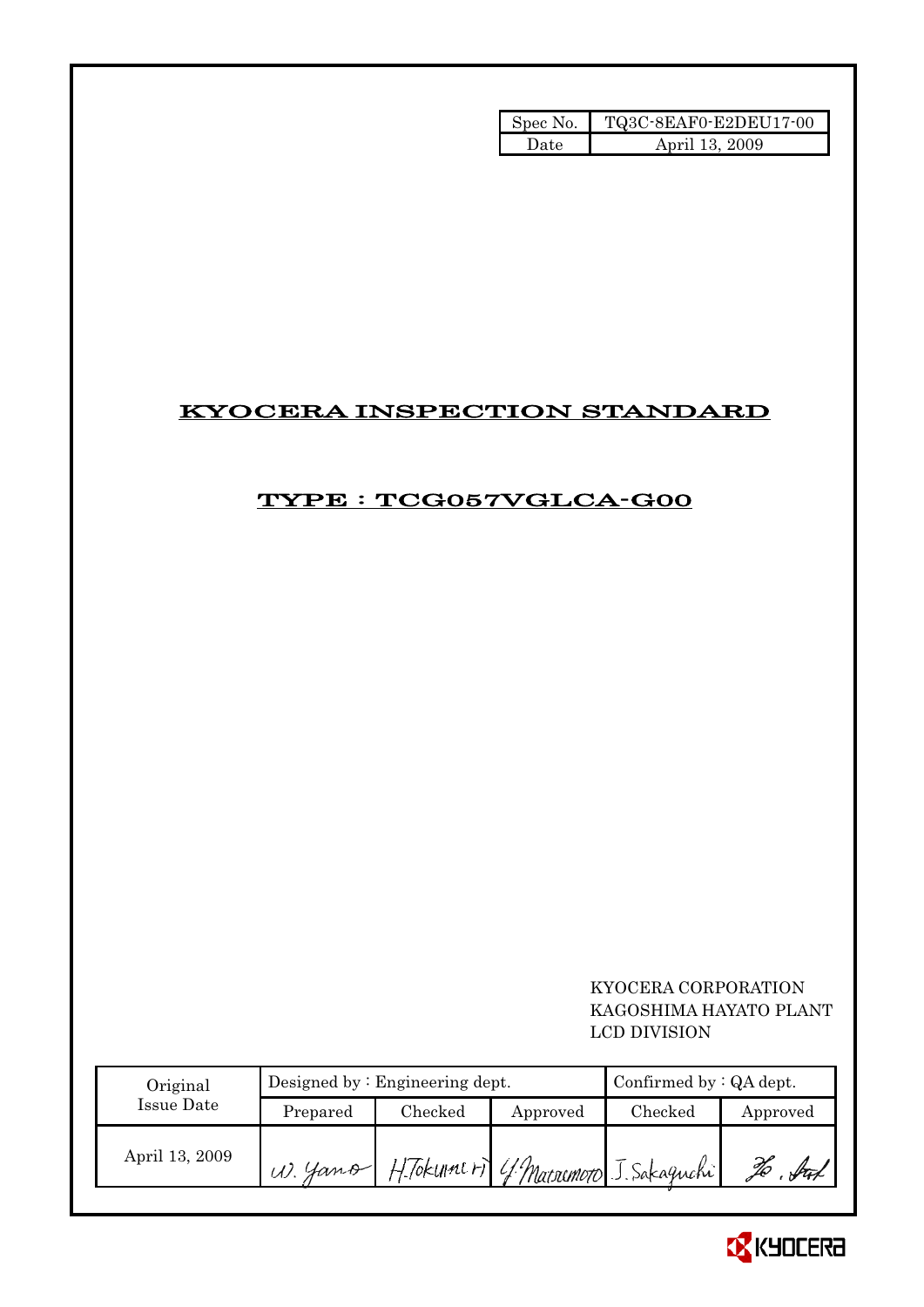| Spec No. | TQ3C-8EAF0-E2DEU17-00 |
|----------|-----------------------|
| Date.    | April 13, 2009        |

# KYOCERA INSPECTION STANDARD

# TYPE : TCG057VGLCA-G00

 KYOCERA CORPORATION KAGOSHIMA HAYATO PLANT LCD DIVISION

| Original       |           | Designed by $:$ Engineering dept. | Confirmed by $:QA$ dept. |                                        |          |
|----------------|-----------|-----------------------------------|--------------------------|----------------------------------------|----------|
| Issue Date     | Prepared  | Checked                           | Approved                 | Checked                                | Approved |
| April 13, 2009 | $W.$ Hamp |                                   |                          | H. Tokunat ri 4 Macsumoto J. Sakagnahi |          |

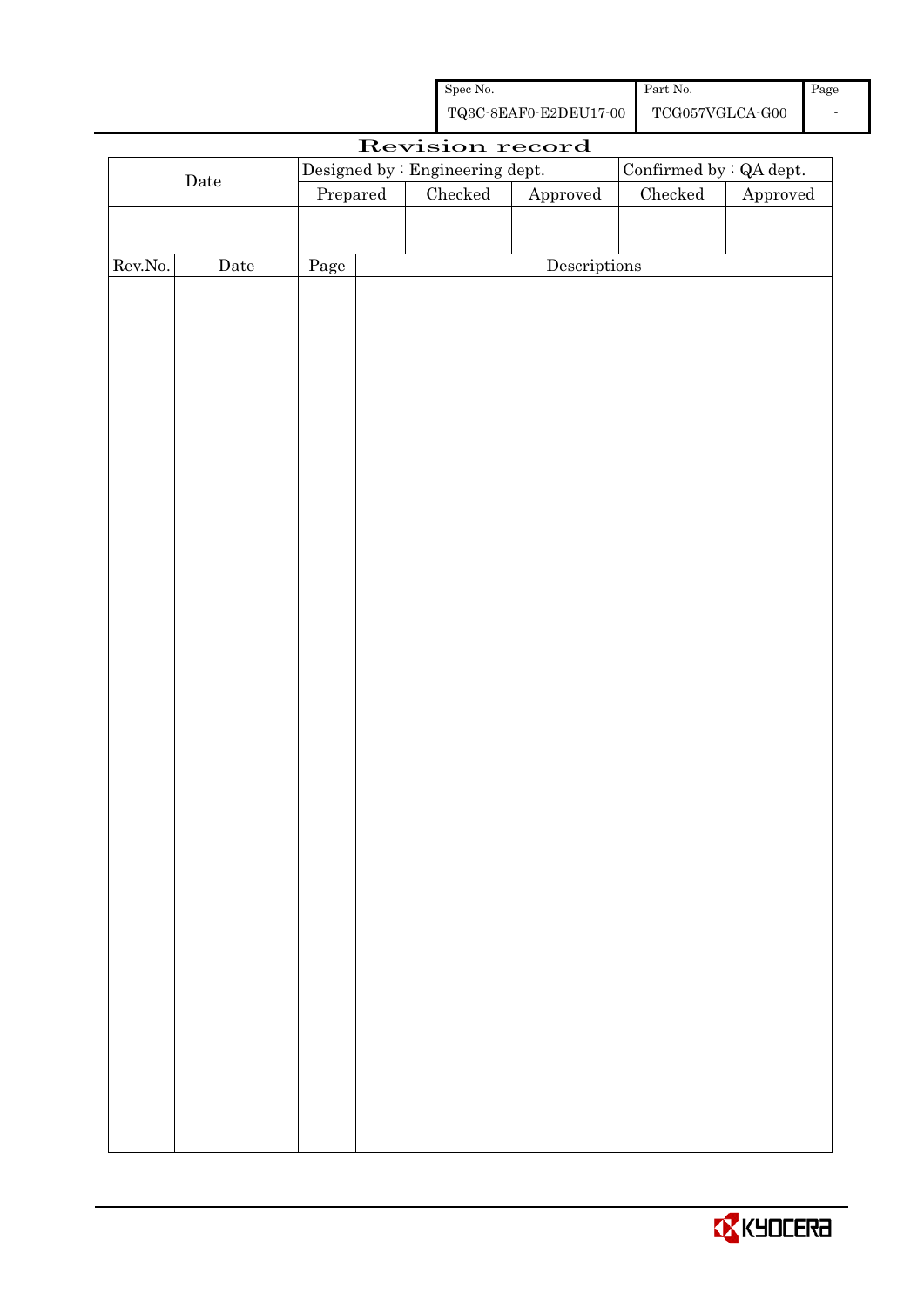| Spec No.              | Part No.        | Page |
|-----------------------|-----------------|------|
| TQ3C-8EAF0-E2DEU17-00 | TCG057VGLCA-G00 |      |

|             |             |                                                             |  | Revision record |                                      |                 |                        |
|-------------|-------------|-------------------------------------------------------------|--|-----------------|--------------------------------------|-----------------|------------------------|
|             |             | Designed by : Engineering dept.<br>Confirmed by $:QA$ dept. |  |                 |                                      |                 |                        |
| $\rm{Date}$ |             | Prepared                                                    |  | $\rm Checked$   | ${\Large\bf Approved}$               | ${\it Checked}$ | ${\Large\bf Approved}$ |
|             |             |                                                             |  |                 |                                      |                 |                        |
|             |             |                                                             |  |                 |                                      |                 |                        |
| Rev.No.     | $\rm{Date}$ | Page                                                        |  |                 | $\label{eq:2} \textbf{Descriptions}$ |                 |                        |
|             |             |                                                             |  |                 |                                      |                 |                        |
|             |             |                                                             |  |                 |                                      |                 |                        |
|             |             |                                                             |  |                 |                                      |                 |                        |
|             |             |                                                             |  |                 |                                      |                 |                        |
|             |             |                                                             |  |                 |                                      |                 |                        |
|             |             |                                                             |  |                 |                                      |                 |                        |
|             |             |                                                             |  |                 |                                      |                 |                        |
|             |             |                                                             |  |                 |                                      |                 |                        |
|             |             |                                                             |  |                 |                                      |                 |                        |
|             |             |                                                             |  |                 |                                      |                 |                        |
|             |             |                                                             |  |                 |                                      |                 |                        |
|             |             |                                                             |  |                 |                                      |                 |                        |
|             |             |                                                             |  |                 |                                      |                 |                        |
|             |             |                                                             |  |                 |                                      |                 |                        |
|             |             |                                                             |  |                 |                                      |                 |                        |
|             |             |                                                             |  |                 |                                      |                 |                        |
|             |             |                                                             |  |                 |                                      |                 |                        |
|             |             |                                                             |  |                 |                                      |                 |                        |
|             |             |                                                             |  |                 |                                      |                 |                        |
|             |             |                                                             |  |                 |                                      |                 |                        |
|             |             |                                                             |  |                 |                                      |                 |                        |
|             |             |                                                             |  |                 |                                      |                 |                        |
|             |             |                                                             |  |                 |                                      |                 |                        |
|             |             |                                                             |  |                 |                                      |                 |                        |
|             |             |                                                             |  |                 |                                      |                 |                        |
|             |             |                                                             |  |                 |                                      |                 |                        |
|             |             |                                                             |  |                 |                                      |                 |                        |
|             |             |                                                             |  |                 |                                      |                 |                        |
|             |             |                                                             |  |                 |                                      |                 |                        |
|             |             |                                                             |  |                 |                                      |                 |                        |
|             |             |                                                             |  |                 |                                      |                 |                        |
|             |             |                                                             |  |                 |                                      |                 |                        |
|             |             |                                                             |  |                 |                                      |                 |                        |
|             |             |                                                             |  |                 |                                      |                 |                        |
|             |             |                                                             |  |                 |                                      |                 |                        |

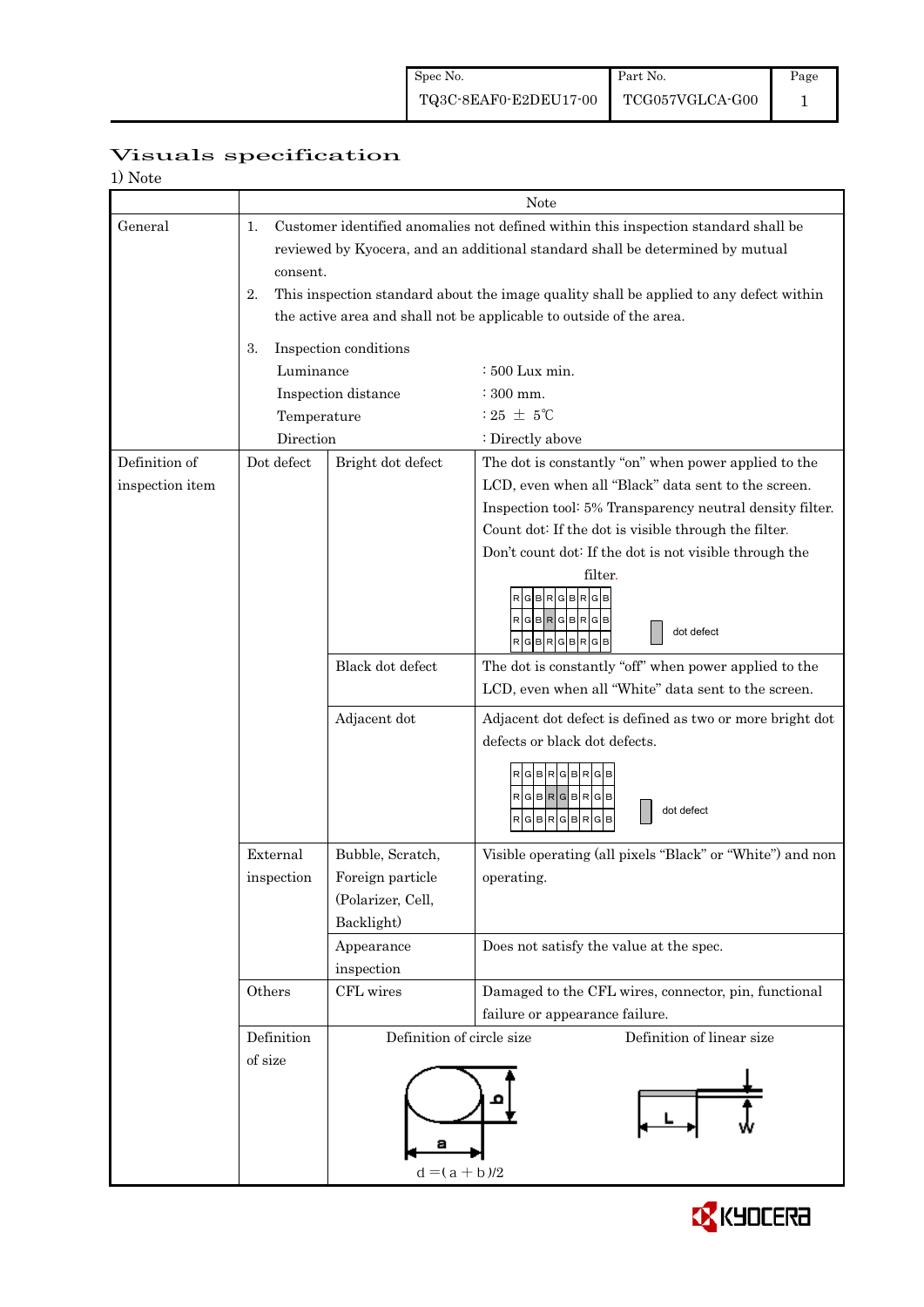| 1) Note                          |                          |                                                                                                                                                                                                                                                                                                                                                  |                                                                                                                                                                                                                                                                                                                                                                                                                                                                                                                                                                    |  |  |  |  |  |
|----------------------------------|--------------------------|--------------------------------------------------------------------------------------------------------------------------------------------------------------------------------------------------------------------------------------------------------------------------------------------------------------------------------------------------|--------------------------------------------------------------------------------------------------------------------------------------------------------------------------------------------------------------------------------------------------------------------------------------------------------------------------------------------------------------------------------------------------------------------------------------------------------------------------------------------------------------------------------------------------------------------|--|--|--|--|--|
|                                  |                          | Note                                                                                                                                                                                                                                                                                                                                             |                                                                                                                                                                                                                                                                                                                                                                                                                                                                                                                                                                    |  |  |  |  |  |
| General                          | 1.<br>2.                 | Customer identified anomalies not defined within this inspection standard shall be<br>reviewed by Kyocera, and an additional standard shall be determined by mutual<br>consent.<br>This inspection standard about the image quality shall be applied to any defect within<br>the active area and shall not be applicable to outside of the area. |                                                                                                                                                                                                                                                                                                                                                                                                                                                                                                                                                                    |  |  |  |  |  |
|                                  | 3.<br>Luminance          | Inspection conditions<br>Inspection distance                                                                                                                                                                                                                                                                                                     | $:500$ Lux min.<br>: 300 mm.                                                                                                                                                                                                                                                                                                                                                                                                                                                                                                                                       |  |  |  |  |  |
|                                  | Temperature<br>Direction |                                                                                                                                                                                                                                                                                                                                                  | : 25 $\pm$ 5°C<br>: Directly above                                                                                                                                                                                                                                                                                                                                                                                                                                                                                                                                 |  |  |  |  |  |
| Definition of<br>inspection item | Dot defect               | Bright dot defect<br>Black dot defect<br>Adjacent dot                                                                                                                                                                                                                                                                                            | The dot is constantly "on" when power applied to the<br>LCD, even when all "Black" data sent to the screen.<br>Inspection tool: 5% Transparency neutral density filter.<br>Count dot: If the dot is visible through the filter.<br>Don't count dot: If the dot is not visible through the<br>filter.<br>BRGBRG<br>RGBRGBRG<br>dot defect<br>RGBRGBRGB<br>The dot is constantly "off" when power applied to the<br>LCD, even when all "White" data sent to the screen.<br>Adjacent dot defect is defined as two or more bright dot<br>defects or black dot defects. |  |  |  |  |  |
|                                  | External<br>inspection   | Bubble, Scratch,<br>Foreign particle<br>(Polarizer, Cell,<br>Backlight)<br>Appearance<br>inspection                                                                                                                                                                                                                                              | RGBRGBRGB<br>$R$ G $B$ R $G$ B $R$ G $B$<br>dot defect<br>GBRGBR<br>G<br>Visible operating (all pixels "Black" or "White") and non<br>operating.<br>Does not satisfy the value at the spec.                                                                                                                                                                                                                                                                                                                                                                        |  |  |  |  |  |
|                                  | Others                   | CFL wires                                                                                                                                                                                                                                                                                                                                        | Damaged to the CFL wires, connector, pin, functional<br>failure or appearance failure.                                                                                                                                                                                                                                                                                                                                                                                                                                                                             |  |  |  |  |  |
|                                  | Definition<br>of size    | Definition of circle size<br>$d = (a + b)/2$                                                                                                                                                                                                                                                                                                     | Definition of linear size                                                                                                                                                                                                                                                                                                                                                                                                                                                                                                                                          |  |  |  |  |  |

## Visuals specification